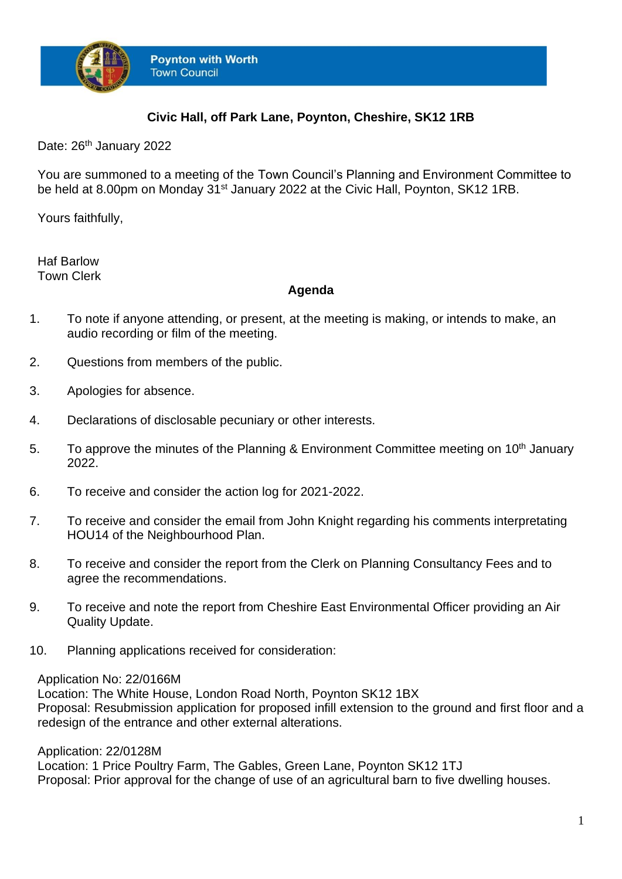

## **Civic Hall, off Park Lane, Poynton, Cheshire, SK12 1RB**

Date: 26<sup>th</sup> January 2022

You are summoned to a meeting of the Town Council's Planning and Environment Committee to be held at 8.00pm on Monday 31<sup>st</sup> January 2022 at the Civic Hall, Poynton, SK12 1RB.

Yours faithfully,

Haf Barlow Town Clerk

## **Agenda**

- 1. To note if anyone attending, or present, at the meeting is making, or intends to make, an audio recording or film of the meeting.
- 2. Questions from members of the public.
- 3. Apologies for absence.
- 4. Declarations of disclosable pecuniary or other interests.
- 5. To approve the minutes of the Planning & Environment Committee meeting on 10<sup>th</sup> January 2022.
- 6. To receive and consider the action log for 2021-2022.
- 7. To receive and consider the email from John Knight regarding his comments interpretating HOU14 of the Neighbourhood Plan.
- 8. To receive and consider the report from the Clerk on Planning Consultancy Fees and to agree the recommendations.
- 9. To receive and note the report from Cheshire East Environmental Officer providing an Air Quality Update.
- 10. Planning applications received for consideration:

## Application No: 22/0166M

Location: The White House, London Road North, Poynton SK12 1BX Proposal: Resubmission application for proposed infill extension to the ground and first floor and a redesign of the entrance and other external alterations.

Application: 22/0128M

Location: 1 Price Poultry Farm, The Gables, Green Lane, Poynton SK12 1TJ Proposal: Prior approval for the change of use of an agricultural barn to five dwelling houses.